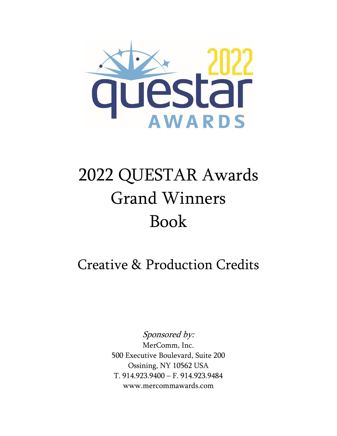

## 2022 QUESTAR Awards Grand Winners Book

## Creative & Production Credits

Sponsored by: MerComm, Inc. 500 Executive Boulevard, Suite 200 Ossining, NY 10562 USA T. 914.923.9400 – F. 914.923.9484 www.mercommawards.com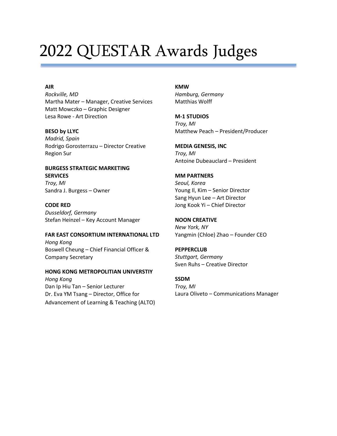## 2022 QUESTAR Awards Judges

#### **AIR**

*Rockville, MD* Martha Mater – Manager, Creative Services Matt Mowczko – Graphic Designer Lesa Rowe - Art Direction

#### **BESO by LLYC**

*Madrid, Spain* Rodrigo Gorosterrazu – Director Creative Region Sur

#### **BURGESS STRATEGIC MARKETING SERVICES** *Troy, MI*

Sandra J. Burgess – Owner

#### **CODE RED**

*Dusseldorf, Germany* Stefan Heinzel – Key Account Manager

#### **FAR EAST CONSORTIUM INTERNATIONAL LTD** *Hong Kong* Boswell Cheung – Chief Financial Officer & Company Secretary

#### **HONG KONG METROPOLITIAN UNIVERSTIY** *Hong Kong* Dan Ip Hiu Tan – Senior Lecturer Dr. Eva YM Tsang – Director, Office for Advancement of Learning & Teaching (ALTO)

### **KMW**

*Hamburg, Germany* Matthias Wolff

**M-1 STUDIOS** *Troy, MI* Matthew Peach – President/Producer

#### **MEDIA GENESIS, INC** *Troy, MI* Antoine Dubeauclard – President

#### **MM PARTNERS**

*Seoul, Korea* Young Il, Kim – Senior Director Sang Hyun Lee – Art Director Jong Kook Yi – Chief Director

#### **NOON CREATIVE**

*New York, NY* Yangmin (Chloe) Zhao – Founder CEO

#### **PEPPERCLUB**

*Stuttgart, Germany* Sven Ruhs – Creative Director

#### **SSDM**

*Troy, MI* Laura Oliveto – Communications Manager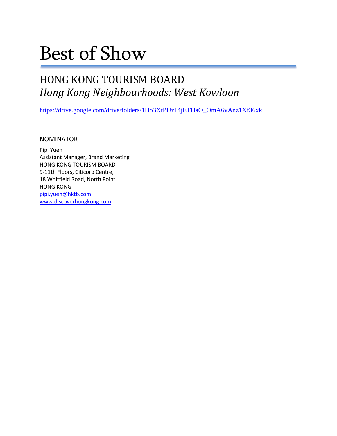## Best of Show

### HONG KONG TOURISM BOARD *Hong Kong Neighbourhoods: West Kowloon*

[https://drive.google.com/drive/folders/1Ho3XtPUz14jETHaO\\_OmA6vAnz1Xf36xk](https://drive.google.com/drive/folders/1Ho3XtPUz14jETHaO_OmA6vAnz1Xf36xk)

NOMINATOR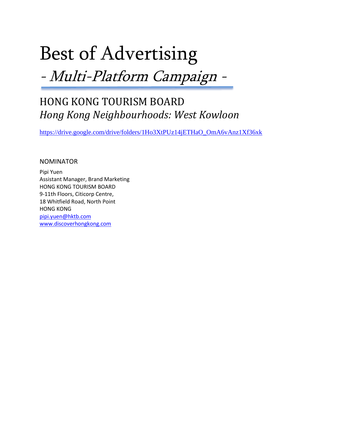# Best of Advertising

-Multi-Platform Campaign -

### HONG KONG TOURISM BOARD *Hong Kong Neighbourhoods: West Kowloon*

[https://drive.google.com/drive/folders/1Ho3XtPUz14jETHaO\\_OmA6vAnz1Xf36xk](https://drive.google.com/drive/folders/1Ho3XtPUz14jETHaO_OmA6vAnz1Xf36xk)

NOMINATOR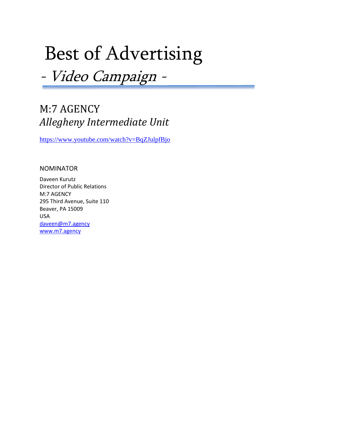## Best of Advertising

-Video Campaign -

### M:7 AGENCY *Allegheny Intermediate Unit*

<https://www.youtube.com/watch?v=BqZJulpfBjo>

#### NOMINATOR

Daveen Kurutz Director of Public Relations M:7 AGENCY 295 Third Avenue, Suite 110 Beaver, PA 15009 USA [daveen@m7.agency](mailto:daveen@m7.agency) [www.m7.agency](http://www.m7.agency/)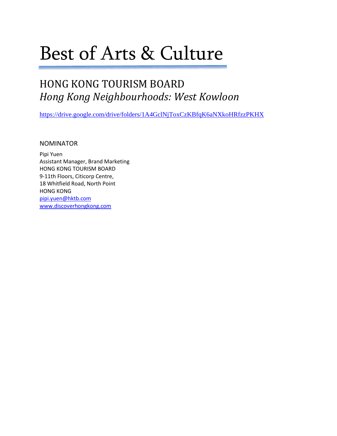## Best of Arts & Culture

### HONG KONG TOURISM BOARD *Hong Kong Neighbourhoods: West Kowloon*

<https://drive.google.com/drive/folders/1A4GclNjToxCzKBfqK6aNXkoHRfzzPKHX>

**NOMINATOR**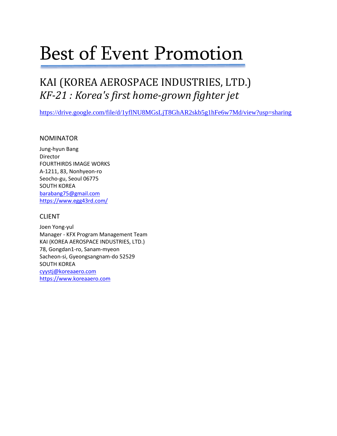## Best of Event Promotion

### KAI (KOREA AEROSPACE INDUSTRIES, LTD.) *KF-21 : Korea's first home-grown fighter jet*

<https://drive.google.com/file/d/1yflNU8MGsLjT8GhAR2skb5g1hFe6w7Md/view?usp=sharing>

#### NOMINATOR

Jung-hyun Bang Director FOURTHIRDS IMAGE WORKS A-1211, 83, Nonhyeon-ro Seocho-gu, Seoul 06775 SOUTH KOREA [barabang75@gmail.com](mailto:barabang75@gmail.com) <https://www.egg43rd.com/>

#### CLIENT

Joen Yong-yul Manager - KFX Program Management Team KAI (KOREA AEROSPACE INDUSTRIES, LTD.) 78, Gongdan1-ro, Sanam-myeon Sacheon-si, Gyeongsangnam-do 52529 SOUTH KOREA [cyystj@koreaaero.com](mailto:cyystj@koreaaero.com) [https://www.koreaaero.com](https://www.koreaaero.com/)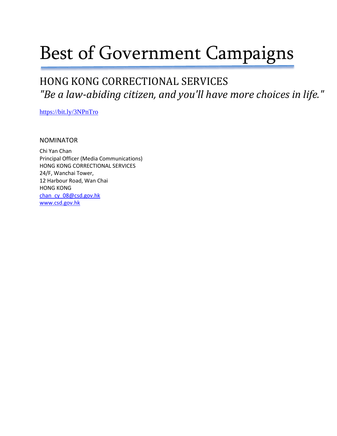## Best of Government Campaigns

### HONG KONG CORRECTIONAL SERVICES *"Be a law-abiding citizen, and you'll have more choices in life."*

<https://bit.ly/3NPnTro>

#### **NOMINATOR**

Chi Yan Chan Principal Officer (Media Communications) HONG KONG CORRECTIONAL SERVICES 24/F, Wanchai Tower, 12 Harbour Road, Wan Chai HONG KONG [chan\\_cy\\_08@csd.gov.hk](mailto:chan_cy_08@csd.gov.hk) [www.csd.gov.hk](http://www.csd.gov.hk/)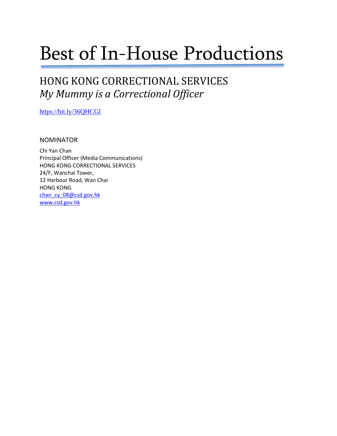## Best of In-House Productions

### HONG KONG CORRECTIONAL SERVICES *My Mummy is a Correctional Officer*

<https://bit.ly/36QHCGl>

#### NOMINATOR

Chi Yan Chan Principal Officer (Media Communications) HONG KONG CORRECTIONAL SERVICES 24/F, Wanchai Tower, 12 Harbour Road, Wan Chai HONG KONG [chan\\_cy\\_08@csd.gov.hk](mailto:chan_cy_08@csd.gov.hk) [www.csd.gov.hk](http://www.csd.gov.hk/)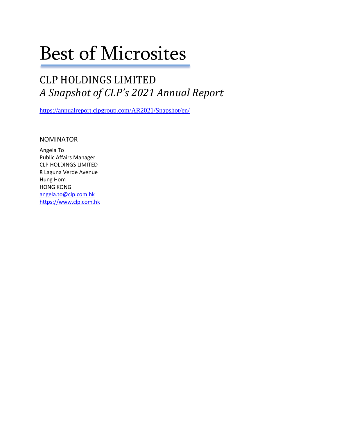## Best of Microsites

### CLP HOLDINGS LIMITED *A Snapshot of CLP's 2021 Annual Report*

<https://annualreport.clpgroup.com/AR2021/Snapshot/en/>

NOMINATOR

Angela To Public Affairs Manager CLP HOLDINGS LIMITED 8 Laguna Verde Avenue Hung Hom HONG KONG [angela.to@clp.com.hk](mailto:angela.to@clp.com.hk) [https://www.clp.com.hk](https://www.clp.com.hk/)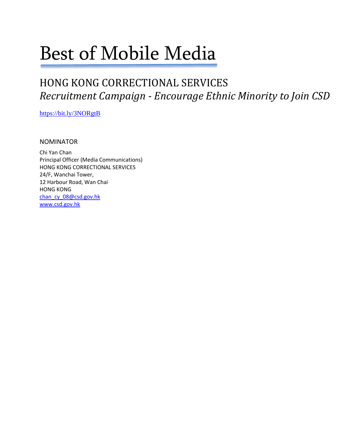## Best of Mobile Media

### HONG KONG CORRECTIONAL SERVICES *Recruitment Campaign - Encourage Ethnic Minority to Join CSD*

<https://bit.ly/3NORgtB>

#### NOMINATOR

Chi Yan Chan Principal Officer (Media Communications) HONG KONG CORRECTIONAL SERVICES 24/F, Wanchai Tower, 12 Harbour Road, Wan Chai HONG KONG [chan\\_cy\\_08@csd.gov.hk](mailto:chan_cy_08@csd.gov.hk) [www.csd.gov.hk](http://www.csd.gov.hk/)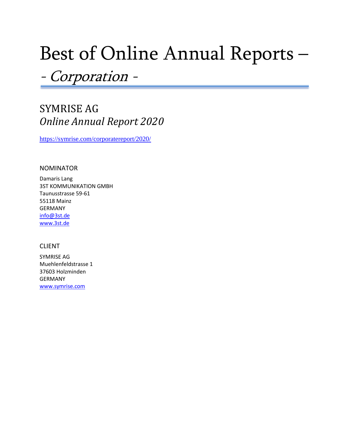## Best of Online Annual Reports –

-Corporation -

### SYMRISE AG *Online Annual Report 2020*

<https://symrise.com/corporatereport/2020/>

#### NOMINATOR

Damaris Lang 3ST KOMMUNIKATION GMBH Taunusstrasse 59-61 55118 Mainz GERMANY [info@3st.de](mailto:info@3st.de) [www.3st.de](http://www.3st.de/)

#### CLIENT

SYMRISE AG Muehlenfeldstrasse 1 37603 Holzminden GERMANY [www.symrise.com](http://www.symrise.com/)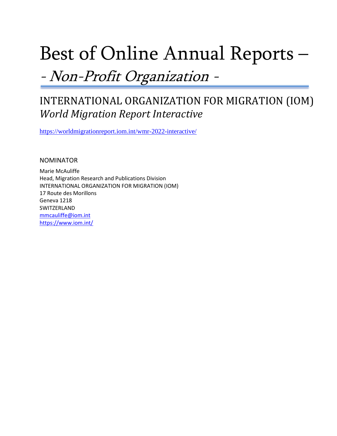## Best of Online Annual Reports –

#### -Non-Profit Organization -

### INTERNATIONAL ORGANIZATION FOR MIGRATION (IOM) *World Migration Report Interactive*

<https://worldmigrationreport.iom.int/wmr-2022-interactive/>

NOMINATOR

Marie McAuliffe Head, Migration Research and Publications Division INTERNATIONAL ORGANIZATION FOR MIGRATION (IOM) 17 Route des Morillons Geneva 1218 SWITZERLAND [mmcauliffe@iom.int](mailto:mmcauliffe@iom.int) <https://www.iom.int/>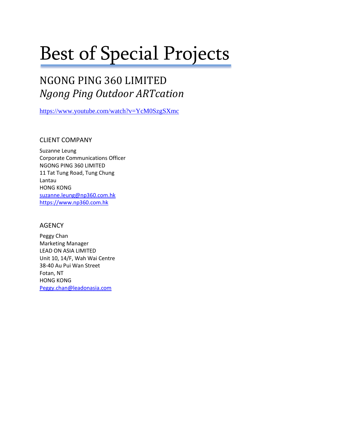## Best of Special Projects

### NGONG PING 360 LIMITED *Ngong Ping Outdoor ARTcation*

<https://www.youtube.com/watch?v=YcM0SzgSXmc>

CLIENT COMPANY

Suzanne Leung Corporate Communications Officer NGONG PING 360 LIMITED 11 Tat Tung Road, Tung Chung Lantau HONG KONG [suzanne.leung@np360.com.hk](mailto:suzanne.leung@np360.com.hk) [https://www.np360.com.hk](https://www.np360.com.hk/)

#### AGENCY

Peggy Chan Marketing Manager LEAD ON ASIA LIMITED Unit 10, 14/F, Wah Wai Centre 38-40 Au Pui Wan Street Fotan, NT HONG KONG [Peggy.chan@leadonasia.com](mailto:Peggy.chan@leadonasia.com)